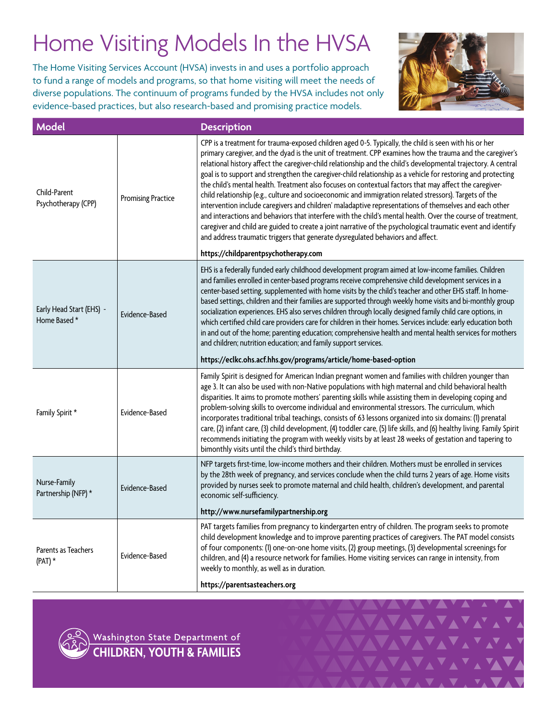## Home Visiting Models In the HVSA

The Home Visiting Services Account (HVSA) invests in and uses a portfolio approach to fund a range of models and programs, so that home visiting will meet the needs of diverse populations. The continuum of programs funded by the HVSA includes not only evidence-based practices, but also research-based and promising practice models.



| <b>Model</b>                             |                           | <b>Description</b>                                                                                                                                                                                                                                                                                                                                                                                                                                                                                                                                                                                                                                                                                                                                                                                                                                                                                                                                                                                                                                                                                   |
|------------------------------------------|---------------------------|------------------------------------------------------------------------------------------------------------------------------------------------------------------------------------------------------------------------------------------------------------------------------------------------------------------------------------------------------------------------------------------------------------------------------------------------------------------------------------------------------------------------------------------------------------------------------------------------------------------------------------------------------------------------------------------------------------------------------------------------------------------------------------------------------------------------------------------------------------------------------------------------------------------------------------------------------------------------------------------------------------------------------------------------------------------------------------------------------|
| Child-Parent<br>Psychotherapy (CPP)      | <b>Promising Practice</b> | CPP is a treatment for trauma-exposed children aged 0-5. Typically, the child is seen with his or her<br>primary caregiver, and the dyad is the unit of treatment. CPP examines how the trauma and the caregiver's<br>relational history affect the caregiver-child relationship and the child's developmental trajectory. A central<br>goal is to support and strengthen the caregiver-child relationship as a vehicle for restoring and protecting<br>the child's mental health. Treatment also focuses on contextual factors that may affect the caregiver-<br>child relationship (e.g., culture and socioeconomic and immigration related stressors). Targets of the<br>intervention include caregivers and children' maladaptive representations of themselves and each other<br>and interactions and behaviors that interfere with the child's mental health. Over the course of treatment,<br>caregiver and child are guided to create a joint narrative of the psychological traumatic event and identify<br>and address traumatic triggers that generate dysregulated behaviors and affect. |
|                                          |                           | https://childparentpsychotherapy.com                                                                                                                                                                                                                                                                                                                                                                                                                                                                                                                                                                                                                                                                                                                                                                                                                                                                                                                                                                                                                                                                 |
| Early Head Start (EHS) -<br>Home Based * | Evidence-Based            | EHS is a federally funded early childhood development program aimed at low-income families. Children<br>and families enrolled in center-based programs receive comprehensive child development services in a<br>center-based setting, supplemented with home visits by the child's teacher and other EHS staff. In home-<br>based settings, children and their families are supported through weekly home visits and bi-monthly group<br>socialization experiences. EHS also serves children through locally designed family child care options, in<br>which certified child care providers care for children in their homes. Services include: early education both<br>in and out of the home; parenting education; comprehensive health and mental health services for mothers<br>and children; nutrition education; and family support services.                                                                                                                                                                                                                                                  |
|                                          |                           | https://eclkc.ohs.acf.hhs.gov/programs/article/home-based-option                                                                                                                                                                                                                                                                                                                                                                                                                                                                                                                                                                                                                                                                                                                                                                                                                                                                                                                                                                                                                                     |
| Family Spirit *                          | Evidence-Based            | Family Spirit is designed for American Indian pregnant women and families with children younger than<br>age 3. It can also be used with non-Native populations with high maternal and child behavioral health<br>disparities. It aims to promote mothers' parenting skills while assisting them in developing coping and<br>problem-solving skills to overcome individual and environmental stressors. The curriculum, which<br>incorporates traditional tribal teachings, consists of 63 lessons organized into six domains: (I) prenatal<br>care, (2) infant care, (3) child development, (4) toddler care, (5) life skills, and (6) healthy living. Family Spirit<br>recommends initiating the program with weekly visits by at least 28 weeks of gestation and tapering to<br>bimonthly visits until the child's third birthday.                                                                                                                                                                                                                                                                 |
| Nurse-Family<br>Partnership (NFP) *      | Evidence-Based            | NFP targets first-time, low-income mothers and their children. Mothers must be enrolled in services<br>by the 28th week of pregnancy, and services conclude when the child turns 2 years of age. Home visits<br>provided by nurses seek to promote maternal and child health, children's development, and parental<br>economic self-sufficiency.<br>http://www.nursefamilypartnership.org                                                                                                                                                                                                                                                                                                                                                                                                                                                                                                                                                                                                                                                                                                            |
| Parents as Teachers<br>(PAT) *           | Evidence-Based            | PAT targets families from pregnancy to kindergarten entry of children. The program seeks to promote<br>child development knowledge and to improve parenting practices of caregivers. The PAT model consists<br>of four components: (1) one-on-one home visits, (2) group meetings, (3) developmental screenings for<br>children, and (4) a resource network for families. Home visiting services can range in intensity, from<br>weekly to monthly, as well as in duration.                                                                                                                                                                                                                                                                                                                                                                                                                                                                                                                                                                                                                          |
|                                          |                           | https://parentsasteachers.org                                                                                                                                                                                                                                                                                                                                                                                                                                                                                                                                                                                                                                                                                                                                                                                                                                                                                                                                                                                                                                                                        |